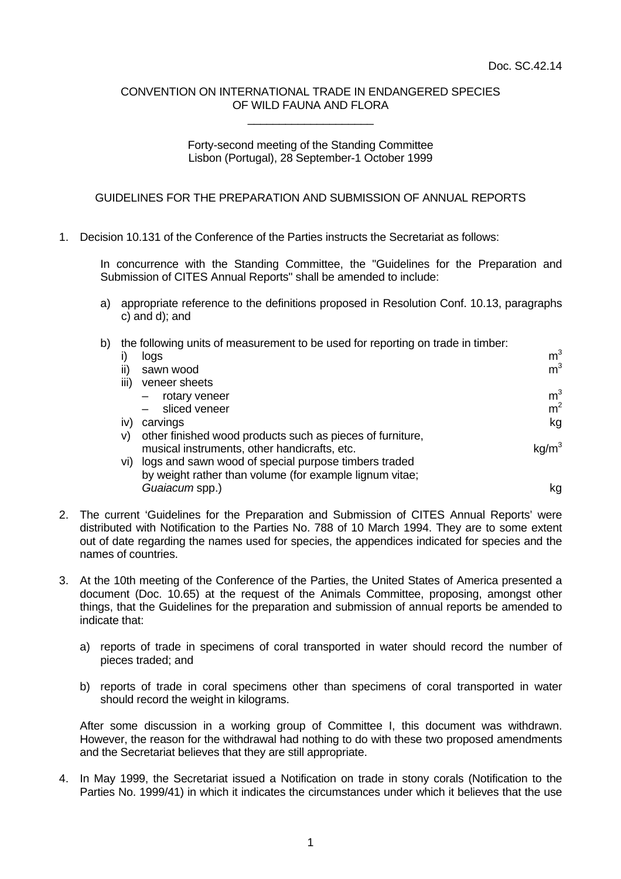## CONVENTION ON INTERNATIONAL TRADE IN ENDANGERED SPECIES OF WILD FAUNA AND FLORA \_\_\_\_\_\_\_\_\_\_\_\_\_\_\_\_\_\_\_\_

## Forty-second meeting of the Standing Committee Lisbon (Portugal), 28 September-1 October 1999

## GUIDELINES FOR THE PREPARATION AND SUBMISSION OF ANNUAL REPORTS

1. Decision 10.131 of the Conference of the Parties instructs the Secretariat as follows:

In concurrence with the Standing Committee, the "Guidelines for the Preparation and Submission of CITES Annual Reports" shall be amended to include:

a) appropriate reference to the definitions proposed in Resolution Conf. 10.13, paragraphs c) and d); and

## b) the following units of measurement to be used for reporting on trade in timber:

|      | logs                                                      | m <sup>3</sup> |
|------|-----------------------------------------------------------|----------------|
| ii)  | sawn wood                                                 | m <sup>3</sup> |
| iii) | veneer sheets                                             |                |
|      | rotary veneer                                             | m <sup>3</sup> |
|      | sliced veneer                                             | m <sup>2</sup> |
| iv)  | carvings                                                  | kg             |
| V)   | other finished wood products such as pieces of furniture, |                |
|      | musical instruments, other handicrafts, etc.              |                |
| VI)  | logs and sawn wood of special purpose timbers traded      |                |
|      | by weight rather than volume (for example lignum vitae;   |                |
|      | Guaiacum spp.)                                            | kq             |

- 2. The current 'Guidelines for the Preparation and Submission of CITES Annual Reports' were distributed with Notification to the Parties No. 788 of 10 March 1994. They are to some extent out of date regarding the names used for species, the appendices indicated for species and the names of countries.
- 3. At the 10th meeting of the Conference of the Parties, the United States of America presented a document (Doc. 10.65) at the request of the Animals Committee, proposing, amongst other things, that the Guidelines for the preparation and submission of annual reports be amended to indicate that:
	- a) reports of trade in specimens of coral transported in water should record the number of pieces traded; and
	- b) reports of trade in coral specimens other than specimens of coral transported in water should record the weight in kilograms.

After some discussion in a working group of Committee I, this document was withdrawn. However, the reason for the withdrawal had nothing to do with these two proposed amendments and the Secretariat believes that they are still appropriate.

4. In May 1999, the Secretariat issued a Notification on trade in stony corals (Notification to the Parties No. 1999/41) in which it indicates the circumstances under which it believes that the use